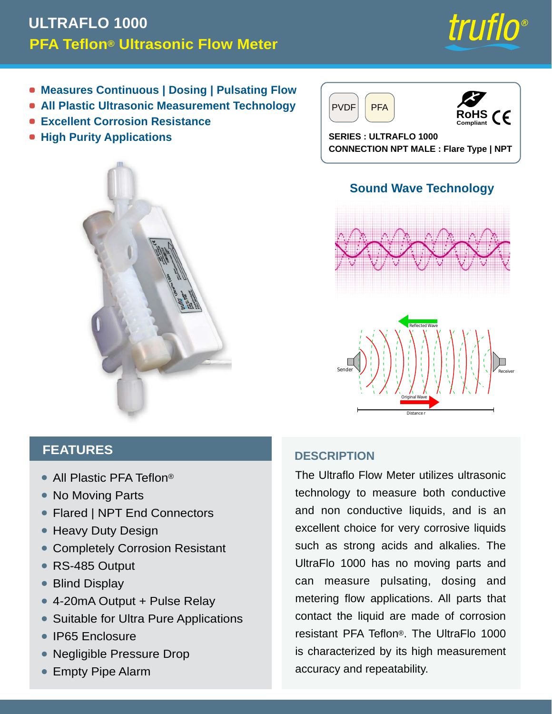# **PFA Teflon® Ultrasonic Flow Meter ULTRAFLO 1000**



- **Measures Continuous | Dosing | Pulsating Flow**
- **All Plastic Ultrasonic Measurement Technology**
- **Excellent Corrosion Resistance**
- $\bullet$  **High Purity Applications**







**SERIES : ULTRAFLO 1000 CONNECTION NPT MALE : Flare Type | NPT**

## **Sound Wave Technology**





## **FEATURES**

- All Plastic PFA Teflon®
- No Moving Parts
- Flared | NPT End Connectors
- Heavy Duty Design
- Completely Corrosion Resistant •
- RS-485 Output
- Blind Display •
- 4-20mA Output + Pulse Relay
- Suitable for Ultra Pure Applications
- IP65 Enclosure
- Negligible Pressure Drop •
- **Empty Pipe Alarm**

#### **DESCRIPTION**

The Ultraflo Flow Meter utilizes ultrasonic technology to measure both conductive and non conductive liquids, and is an excellent choice for very corrosive liquids such as strong acids and alkalies. The UltraFlo 1000 has no moving parts and can measure pulsating, dosing and metering flow applications. All parts that contact the liquid are made of corrosion resistant PFA Teflon®. The UltraFlo 1000 is characterized by its high measurement accuracy and repeatability.